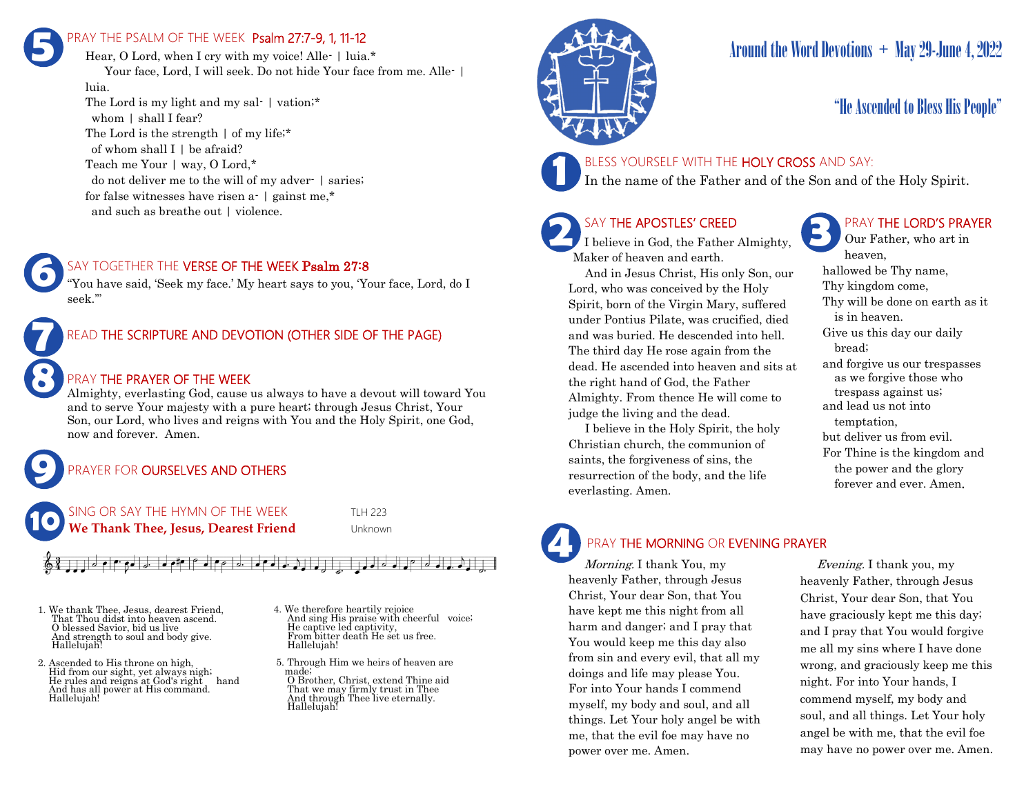## PRAY THE PSALM OF THE WEEK Psalm 27:7-9, 1, 11-12 **5**

Hear, O Lord, when I cry with my voice! Alle- | luia.\* Your face, Lord, I will seek. Do not hide Your face from me. Alle- | luia. The Lord is my light and my sal- | vation;\*

whom | shall I fear? The Lord is the strength  $\vert$  of my life;\* of whom shall  $I \mid$  be afraid? Teach me Your | way, O Lord,\* do not deliver me to the will of my adver- | saries; for false witnesses have risen a- | gainst me,\* and such as breathe out | violence.



"You have said, 'Seek my face.' My heart says to you, 'Your face, Lord, do I seek.'"



### PRAY THE PRAYER OF THE WEEK

Almighty, everlasting God, cause us always to have a devout will toward You and to serve Your majesty with a pure heart; through Jesus Christ, Your Son, our Lord, who lives and reigns with You and the Holy Spirit, one God, now and forever. Amen.

## PRAYER FOR **OURSELVES AND OTHERS**

 $\sigma$  ,  $\sigma$  ,  $\sigma$  ,  $\sigma$  ,  $\sigma$  ,  $\sigma$  ,  $\sigma$  ,  $\sigma$  ,  $\sigma$  ,  $\sigma$  ,  $\sigma$  ,  $\sigma$ 

**10**

**9**

**8**

NG OR SAY THE HYMN OF THE WEEK TLH 223 **We Thank Thee, Jesus, Dearest Friend** Unknown

1. We thank Thee, Jesus, dearest Friend, That Thou didst into heaven ascend. O blessed Savior, bid us live And strength to soul and body give. Hallelujah!

- 2. Ascended to His throne on high, Hid from our sight, yet always nigh; He rules and reigns at God's right hand And has all power at His command. Hallelujah!
- 4. We therefore heartily rejoice And sing His praise with cheerful voice; He captive led captivity, From bitter death He set us free. Hallelujah!

لم خالم له

- 5. Through Him we heirs of heaven are made;
- O Brother, Christ, extend Thine aid That we may firmly trust in Thee And through Thee live eternally. Hallelujah!



# Around the Word Devotions  $+$  May 29-June 4, 2022

## "He Ascended to Bless His People"



BLESS YOURSELF WITH THE HOLY CROSS AND SAY:

In the name of the Father and of the Son and of the Holy Spirit.

## SAY THE APOSTLES' CREED

I believe in God, the Father Almighty, Maker of heaven and earth.

 And in Jesus Christ, His only Son, our Lord, who was conceived by the Holy Spirit, born of the Virgin Mary, suffered under Pontius Pilate, was crucified, died and was buried. He descended into hell. The third day He rose again from the dead. He ascended into heaven and sits at the right hand of God, the Father Almighty. From thence He will come to judge the living and the dead.

 I believe in the Holy Spirit, the holy Christian church, the communion of saints, the forgiveness of sins, the resurrection of the body, and the life everlasting. Amen.

## PRAY THE LORD'S PRAYER

Our Father, who art in heaven, hallowed be Thy name, Thy kingdom come, Thy will be done on earth as it is in heaven. Give us this day our daily bread; and forgive us our trespasses as we forgive those who trespass against us; and lead us not into temptation, but deliver us from evil. For Thine is the kingdom and the power and the glory forever and ever. Amen.

# PRAY THE MORNING OR EVENING PRAYER

Morning. I thank You, my heavenly Father, through Jesus Christ, Your dear Son, that You have kept me this night from all harm and danger; and I pray that You would keep me this day also from sin and every evil, that all my doings and life may please You. For into Your hands I commend myself, my body and soul, and all things. Let Your holy angel be with me, that the evil foe may have no power over me. Amen. **4**

 Evening. I thank you, my heavenly Father, through Jesus Christ, Your dear Son, that You have graciously kept me this day; and I pray that You would forgive me all my sins where I have done wrong, and graciously keep me this night. For into Your hands, I commend myself, my body and soul, and all things. Let Your holy angel be with me, that the evil foe may have no power over me. Amen.